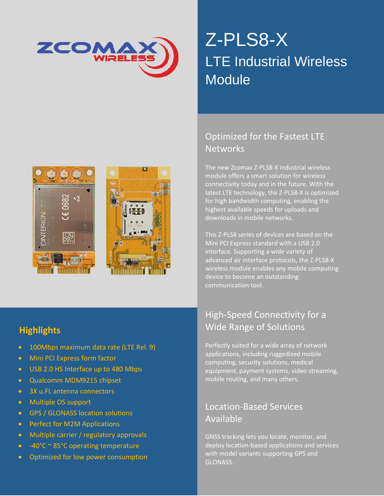

# Z-PLS8-X LTE Industrial Wireless **Module**





### Optimized for the Fastest LTE **Networks**

The new Zcomax Z-PLS8-X industrial wireless module offers a smart solution for wireless connectivity today and in the future. With the latest LTE technology, the Z-PLS8-X is optimized for high bandwidth computing, enabling the highest available speeds for uploads and downloads in mobile networks.

This Z-PLS8 series of devices are based on the Mini PCI Express standard with a USB 2.0 interface. Supporting a wide variety of advanced air interface protocols, the Z-PLS8-X wireless module enables any mobile computing device to become an outstanding communication tool.

#### **Highlights**

- 100Mbps maximum data rate (LTE Rel. 9)
- Mini PCI Express form factor
- USB 2.0 HS Interface up to 480 Mbps
- Qualcomm MDM9215 chipset
- 3X u.FL antenna connectors
- Multiple OS support
- GPS / GLONASS location solutions
- Perfect for M2M Applications
- **•** Multiple carrier / regulatory approvals
- -40°C ~ 85°C operating temperature and methods, without prior written permission permission permission permis
- Optimized for low power consumption  $\blacksquare$  SLON

#### High-Speed Connectivity for a Wide Range of Solutions

Perfectly suited for a wide array of network applications, including ruggedized mobile computing, security solutions, medical equipment, payment systems, video streaming, mobile routing, and many others.

#### Location-Based Services Available

ww.zcomax.com Email[: sales@zcomax.com](mailto:sales@zcomax.com) Email: sales@zcomax.com Document DS-ZPLS8-X 1.0 10002 1.0 10002 1602233

ple carrier / regulatory approvals in any form or by any GNSS tracking lets you locate, monitor, and publicate in any  $\sim$  GNSS tracking lets you locate, monitor, and deploy location-based applications and services with model variants supporting GPS and GLONASS.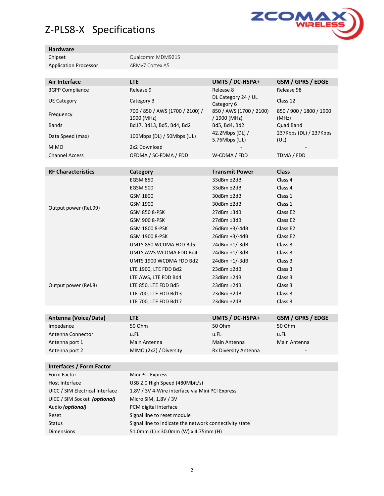## Z-PLS8-X Specifications



#### **Hardware**

| Chipset                      | Qualcomm MDM9215 |
|------------------------------|------------------|
| <b>Application Processor</b> | ARMy7 Cortex A5  |

|                                 |                                                 |                                         | GSM / GPRS / EDGE                |
|---------------------------------|-------------------------------------------------|-----------------------------------------|----------------------------------|
| Air Interface                   | <b>LTE</b><br>Release 9                         | UMTS / DC-HSPA+                         | Release 98                       |
| <b>3GPP Compliance</b>          |                                                 | Release 8<br>DL Category 24 / UL        |                                  |
| <b>UE Category</b>              | Category 3                                      | Category 6                              | Class 12                         |
| Frequency                       | 700 / 850 / AWS (1700 / 2100) /<br>1900 (MHz)   | 850 / AWS (1700 / 2100)<br>/ 1900 (MHz) | 850 / 900 / 1800 / 1900<br>(MHz) |
| <b>Bands</b>                    | Bd17, Bd13, Bd5, Bd4, Bd2                       | Bd5, Bd4, Bd2                           | Quad Band                        |
| Data Speed (max)                | 100Mbps (DL) / 50Mbps (UL)                      | 42.2Mbps (DL) /<br>5.76Mbps (UL)        | 237Kbps (DL) / 237Kbps<br>(UL)   |
| <b>MIMO</b>                     | 2x2 Download                                    |                                         |                                  |
| <b>Channel Access</b>           | OFDMA / SC-FDMA / FDD                           | W-CDMA / FDD                            | TDMA / FDD                       |
|                                 |                                                 |                                         |                                  |
| <b>RF Characteristics</b>       | Category                                        | <b>Transmit Power</b>                   | <b>Class</b>                     |
|                                 | <b>EGSM 850</b>                                 | 33dBm ±2dB                              | Class 4                          |
|                                 | <b>EGSM 900</b>                                 | 33dBm ±2dB                              | Class 4                          |
|                                 | GSM 1800                                        | 30dBm ±2dB                              | Class 1                          |
| Output power (Rel.99)           | GSM 1900                                        | 30dBm ±2dB                              | Class 1                          |
|                                 | GSM 850 8-PSK                                   | $27dBm \pm 3dB$                         | Class E <sub>2</sub>             |
|                                 | GSM 900 8-PSK                                   | $27dBm \pm 3dB$                         | Class E <sub>2</sub>             |
|                                 | GSM 1800 8-PSK                                  | $26dBm +3/-4dB$                         | Class E <sub>2</sub>             |
|                                 | GSM 1900 8-PSK                                  | 26dBm +3/-4dB                           | Class E <sub>2</sub>             |
|                                 | UMTS 850 WCDMA FDD Bd5                          | 24dBm +1/-3dB                           | Class 3                          |
|                                 | UMTS AWS WCDMA FDD Bd4                          | $24dBm + 1/-3dB$                        | Class 3                          |
|                                 | UMTS 1900 WCDMA FDD Bd2                         | $24dBm + 1/-3dB$                        | Class 3                          |
| Output power (Rel.8)            | LTE 1900, LTE FDD Bd2                           | $23dBm \pm 2dB$                         | Class 3                          |
|                                 | LTE AWS, LTE FDD Bd4                            | 23dBm ±2dB                              | Class 3                          |
|                                 | LTE 850, LTE FDD Bd5                            | 23dBm ±2dB                              | Class 3                          |
|                                 | LTE 700, LTE FDD Bd13                           | $23dBm \pm 2dB$                         | Class 3                          |
|                                 | LTE 700, LTE FDD Bd17                           | 23dBm ±2dB                              | Class 3                          |
|                                 |                                                 |                                         |                                  |
| Antenna (Voice/Data)            | <b>LTE</b>                                      | UMTS / DC-HSPA+                         | GSM / GPRS / EDGE                |
| Impedance                       | 50 Ohm                                          | 50 Ohm                                  | 50 Ohm                           |
| Antenna Connector               | u.FL                                            | u.FL                                    | u.FL                             |
| Antenna port 1                  | Main Antenna                                    | Main Antenna                            | Main Antenna                     |
| Antenna port 2                  | MIMO (2x2) / Diversity                          | Rx Diversity Antenna                    |                                  |
|                                 |                                                 |                                         |                                  |
| <b>Interfaces / Form Factor</b> |                                                 |                                         |                                  |
| Form Factor                     | Mini PCI Express                                |                                         |                                  |
| Host Interface                  | USB 2.0 High Speed (480Mbit/s)                  |                                         |                                  |
| UICC / SIM Electrical Interface | 1.8V / 3V 4-Wire interface via Mini PCI Express |                                         |                                  |
| UICC / SIM Socket (optional)    | Micro SIM, 1.8V / 3V                            |                                         |                                  |
| Audio (optional)                | PCM digital interface                           |                                         |                                  |

Reset Signal line to reset module

Status Status Signal line to indicate the network connectivity state

Dimensions 51.0mm (L) x 30.0mm (W) x 4.75mm (H)